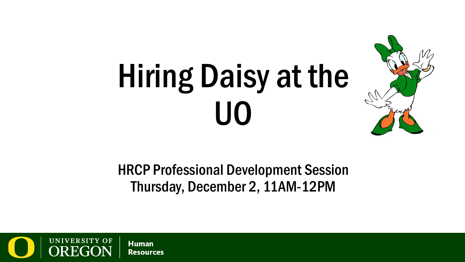# Hiring Daisy at the UO



HRCP Professional Development Session Thursday, December 2, 11AM-12PM

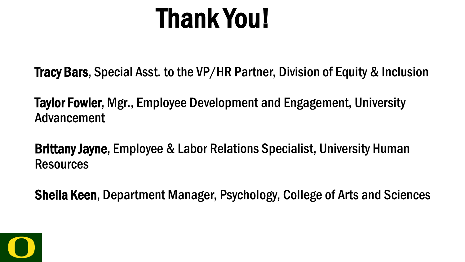## Thank You!

Tracy Bars, Special Asst. to the VP/HR Partner, Division of Equity & Inclusion

Taylor Fowler, Mgr., Employee Development and Engagement, University Advancement

Brittany Jayne, Employee & Labor Relations Specialist, University Human **Resources** 

Sheila Keen, Department Manager, Psychology, College of Arts and Sciences

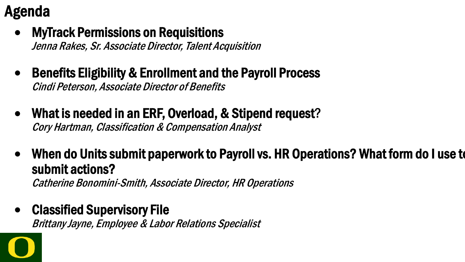### Agenda

• MyTrack Permissions on Requisitions

Jenna Rakes, Sr. Associate Director, Talent Acquisition

- Benefits Eligibility & Enrollment and the Payroll Process Cindi Peterson, Associate Director of Benefits
- What is needed in an ERF, Overload, & Stipend request? Cory Hartman, Classification & Compensation Analyst
- When do Units submit paperwork to Payroll vs. HR Operations? What form do I use to submit actions? Catherine Bonomini-Smith, Associate Director, HR Operations
- Classified Supervisory File Brittany Jayne, Employee & Labor Relations Specialist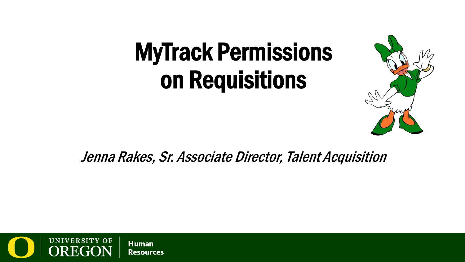

#### Jenna Rakes, Sr. Associate Director, Talent Acquisition

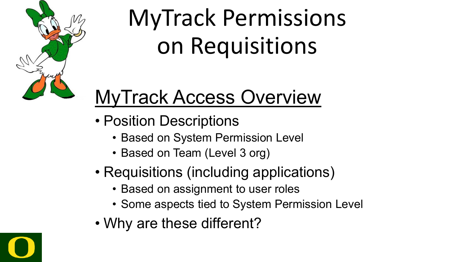

## MyTrack Access Overview

- Position Descriptions
	- Based on System Permission Level
	- Based on Team (Level 3 org)
- Requisitions (including applications)
	- Based on assignment to user roles
	- Some aspects tied to System Permission Level
- Why are these different?

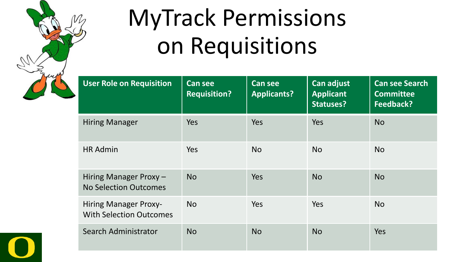

| <b>User Role on Requisition</b>                                | <b>Can see</b><br><b>Requisition?</b> | <b>Can see</b><br><b>Applicants?</b> | Can adjust<br><b>Applicant</b><br><b>Statuses?</b> | <b>Can see Search</b><br><b>Committee</b><br>Feedback? |
|----------------------------------------------------------------|---------------------------------------|--------------------------------------|----------------------------------------------------|--------------------------------------------------------|
| <b>Hiring Manager</b>                                          | Yes                                   | Yes                                  | Yes                                                | <b>No</b>                                              |
| <b>HR Admin</b>                                                | Yes                                   | No                                   | <b>No</b>                                          | <b>No</b>                                              |
| Hiring Manager Proxy -<br><b>No Selection Outcomes</b>         | <b>No</b>                             | Yes                                  | <b>No</b>                                          | <b>No</b>                                              |
| <b>Hiring Manager Proxy-</b><br><b>With Selection Outcomes</b> | <b>No</b>                             | Yes                                  | Yes                                                | <b>No</b>                                              |
| Search Administrator                                           | <b>No</b>                             | <b>No</b>                            | <b>No</b>                                          | Yes                                                    |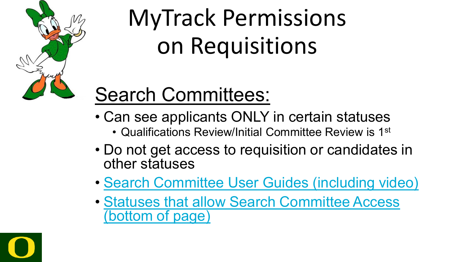



- Can see applicants ONLY in certain statuses
	- Qualifications Review/Initial Committee Review is 1st
- Do not get access to requisition or candidates in other statuses
- [Search Committee User Guides \(including video\)](https://hr.uoregon.edu/recruitment/mytrack-recruitment-module/mytrack-user-guides-tools/mytrack-search-committee)
- [Statuses that allow Search Committee Access](https://hr.uoregon.edu/node/3457/)  (bottom of page)

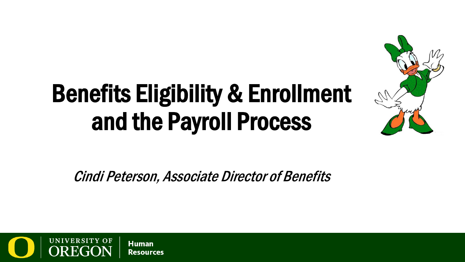

## Benefits Eligibility & Enrollment and the Payroll Process

Cindi Peterson, Associate Director of Benefits

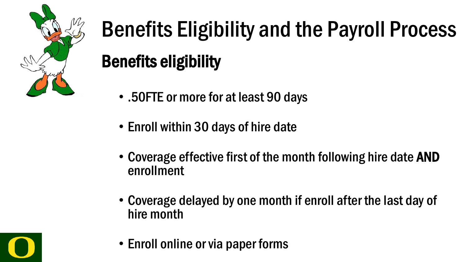

# Benefits Eligibility and the Payroll Process Benefits eligibility

- .50FTE or more for at least 90 days
- Enroll within 30 days of hire date
- Coverage effective first of the month following hire date AND enrollment
- Coverage delayed by one month if enroll after the last day of hire month



• Enroll online or via paper forms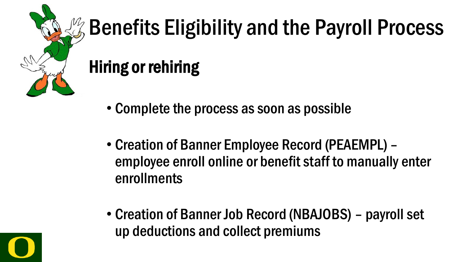

# **Benefits Eligibility and the Payroll Process** Hiring or rehiring

- Complete the process as soon as possible
- Creation of Banner Employee Record (PEAEMPL) employee enroll online or benefit staff to manually enter enrollments
- Creation of Banner Job Record (NBAJOBS) payroll set up deductions and collect premiums

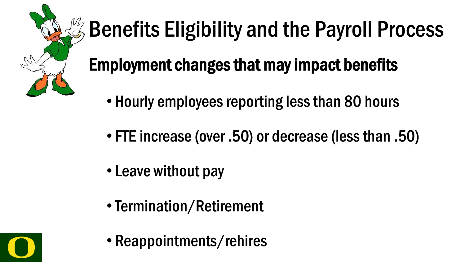

## $\mathscr{G}$  Benefits Eligibility and the Payroll Process

Employment changes that may impact benefits

- Hourly employees reporting less than 80 hours
- FTE increase (over .50) or decrease (less than .50)
- Leave without pay
- •Termination/Retirement

• Reappointments/rehires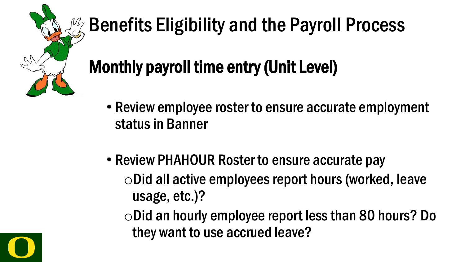

## $\%$  Benefits Eligibility and the Payroll Process

## Monthly payroll time entry (Unit Level)

- Review employee roster to ensure accurate employment status in Banner
- Review PHAHOUR Roster to ensure accurate pay oDid all active employees report hours (worked, leave usage, etc.)?

oDid an hourly employee report less than 80 hours? Do they want to use accrued leave?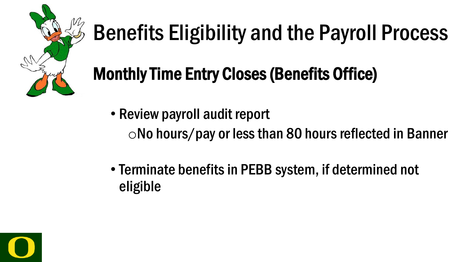

## Benefits Eligibility and the Payroll Process

## Monthly Time Entry Closes (Benefits Office)

- Review payroll audit report oNo hours/pay or less than 80 hours reflected in Banner
- Terminate benefits in PEBB system, if determined not eligible

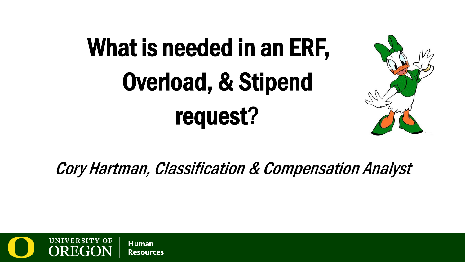# What is needed in an ERF, Overload, & Stipend request?



### Cory Hartman, Classification & Compensation Analyst

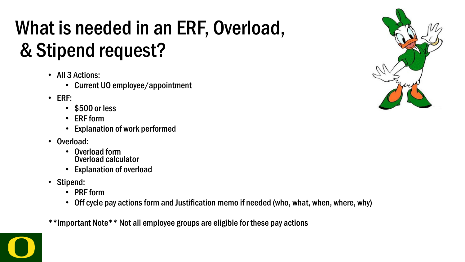## What is needed in an ERF, Overload, & Stipend request?

- All 3 Actions:
	- Current UO employee/appointment
- ERF:
	- \$500 or less
	- ERF form
	- Explanation of work performed
- Overload:
	- Overload form Overload calculator
	- Explanation of overload
- Stipend:
	- PRF form
	- Off cycle pay actions form and Justification memo if needed (who, what, when, where, why)

\*\*Important Note\*\* Not all employee groups are eligible for these pay actions

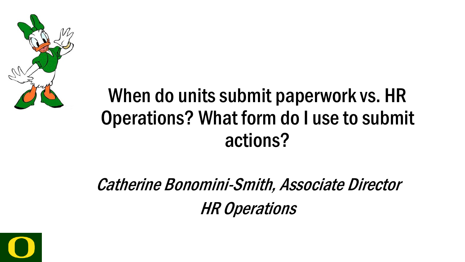

## When do units submit paperwork vs. HR Operations? What form do I use to submit actions?

Catherine Bonomini-Smith, Associate Director HR Operations

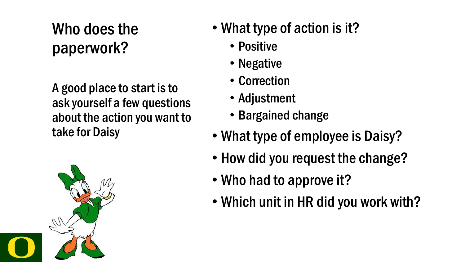### Who does the paperwork?

A good place to start is to ask yourself a few questions about the action you want to take for Daisy



### • What type of action is it?

- Positive
- Negative
- Correction
- Adjustment
- Bargained change
- What type of employee is Daisy?
- How did you request the change?
- Who had to approve it?
- Which unit in HR did you work with?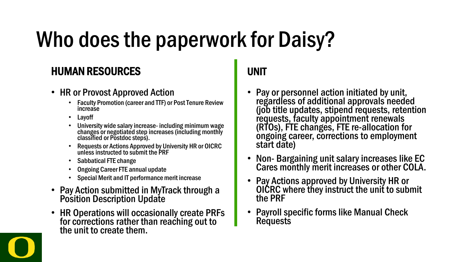## Who does the paperwork for Daisy?

#### HUMAN RESOURCES

- HR or Provost Approved Action
	- Faculty Promotion (career and TTF) or Post Tenure Review increase
	- Layoff
	- University wide salary increase- including minimum wage changes or negotiated step increases (including monthly classified or Postdoc steps).
	- Requests or Actions Approved by University HR or OICRC unless instructed to submit the PRF
	- Sabbatical FTE change
	- Ongoing Career FTE annual update
	- Special Merit and IT performance merit increase
- Pay Action submitted in MyTrack through a Position Description Update
- HR Operations will occasionally create PRFs for corrections rather than reaching out to the unit to create them.

UNIT

- Pay or personnel action initiated by unit, regardless of additional approvals needed (job title updates, stipend requests, retention requests, faculty appointment renewals (RTOs), FTE changes, FTE re-allocation for ongoing career, corrections to employment start date)
- Non- Bargaining unit salary increases like EC Cares monthly merit increases or other COLA.
- Pay Actions approved by University HR or OICRC where they instruct the unit to submit the PRF
- Payroll specific forms like Manual Check Requests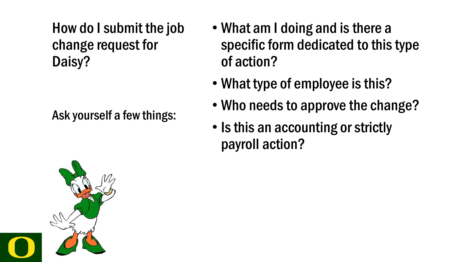How do I submit the job change request for Daisy?

Ask yourself a few things:

- What am I doing and is there a specific form dedicated to this type of action?
- What type of employee is this?
- Who needs to approve the change?
- Is this an accounting or strictly payroll action?

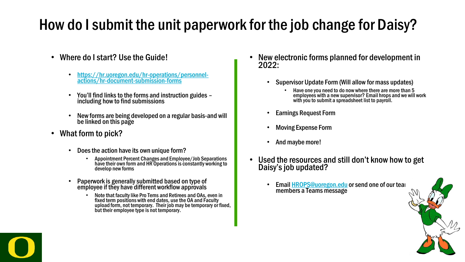### How do I submit the unit paperwork for the job change for Daisy?

- Where do I start? Use the Guide!
	- [https://hr.uoregon.edu/hr-operations/personnel-](https://hr.uoregon.edu/hr-operations/personnel-actions/hr-document-submission-forms) actions/hr-document-submission-forms
	- You'll find links to the forms and instruction guides including how to find submissions
	- New forms are being developed on a regular basis-and will be linked on this page
- What form to pick?
	- Does the action have its own unique form?
		- Appointment Percent Changes and Employee/Job Separations have their own form and HR Operations is constantly working to develop new forms
	- Paperwork is generally submitted based on type of employee if they have different workflow approvals
		- Note that faculty like Pro Tems and Retirees and OAs, even in fixed term positions with end dates, use the OA and Faculty upload form, not temporary. Their job may be temporary or fixed, but their employee type is not temporary.
- New electronic forms planned for development in  $2022 -$ 
	- Supervisor Update Form (Will allow for mass updates)
		- Have one you need to do now where there are more than 5 employees with a new supervisor? Email hrops and we will work with you to submit a spreadsheet list to payroll.
	- Earnings Request Form
	- Moving Expense Form
	- And maybe more!
- Used the resources and still don't know how to get Daisy's job updated?
	- Email [HROPS@uoregon.edu](mailto:HROPS@uoregon.edu) or send one of our team members a Teams message

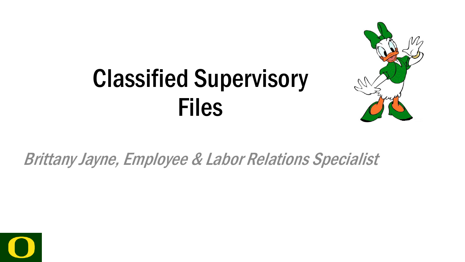## Classified Supervisory Files



### Brittany Jayne, Employee & Labor Relations Specialist

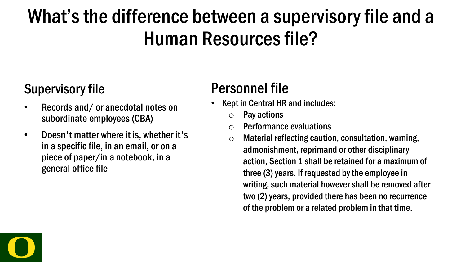## What's the difference between a supervisory file and a Human Resources file?

#### Supervisory file

- Records and/ or anecdotal notes on subordinate employees (CBA)
- Doesn't matter where it is, whether it's in a specific file, in an email, or on a piece of paper/in a notebook, in a general office file

### Personnel file

- Kept in Central HR and includes:
	- $\circ$  Pay actions
	- $\circ$  Performance evaluations
	- $\circ$  Material reflecting caution, consultation, warning, admonishment, reprimand or other disciplinary action, Section 1 shall be retained for a maximum of three (3) years. If requested by the employee in writing, such material however shall be removed after two (2) years, provided there has been no recurrence of the problem or a related problem in that time.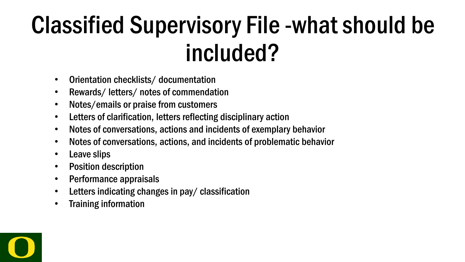## Classified Supervisory File -what should be included?

- Orientation checklists/ documentation
- Rewards/ letters/ notes of commendation
- Notes/emails or praise from customers
- Letters of clarification, letters reflecting disciplinary action
- Notes of conversations, actions and incidents of exemplary behavior
- Notes of conversations, actions, and incidents of problematic behavior
- Leave slips
- Position description
- Performance appraisals
- Letters indicating changes in pay/ classification
- Training information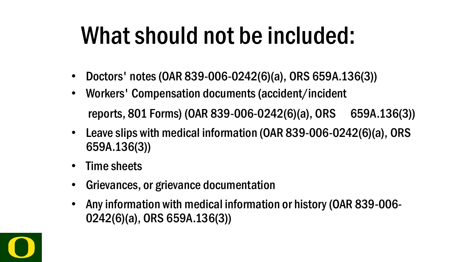## What should not be included:

- Doctors' notes (OAR 839-006-0242(6)(a), ORS 659A.136(3))
- Workers' Compensation documents (accident/incident reports, 801 Forms) (OAR 839-006-0242(6)(a), ORS 659A.136(3))
- Leave slips with medical information (OAR 839-006-0242(6)(a), ORS 659A.136(3))
- Time sheets
- Grievances, or grievance documentation
- Any information with medical information or history (OAR 839-006- 0242(6)(a), ORS 659A.136(3))

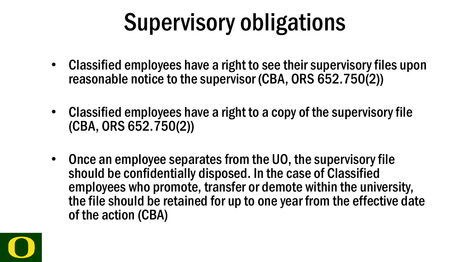## Supervisory obligations

- Classified employees have a right to see their supervisory files upon reasonable notice to the supervisor (CBA, ORS 652.750(2))
- Classified employees have a right to a copy of the supervisory file (CBA, ORS 652.750(2))
- Once an employee separates from the UO, the supervisory file should be confidentially disposed. In the case of Classified employees who promote, transfer or demote within the university, the file should be retained for up to one year from the effective date of the action (CBA)

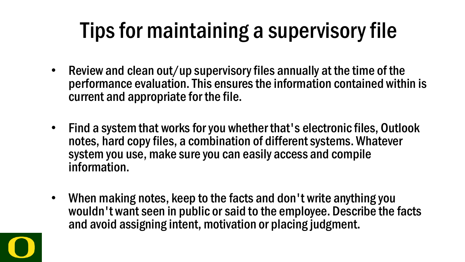## Tips for maintaining a supervisory file

- Review and clean out/up supervisory files annually at the time of the performance evaluation. This ensures the information contained within is current and appropriate for the file.
- Find a system that works for you whether that's electronic files, Outlook notes, hard copy files, a combination of different systems. Whatever system you use, make sure you can easily access and compile information.
- When making notes, keep to the facts and don't write anything you wouldn't want seen in public or said to the employee. Describe the facts and avoid assigning intent, motivation or placing judgment.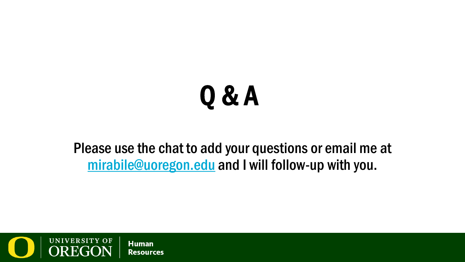# Q & A

#### Please use the chat to add your questions or email me at [mirabile@uoregon.edu](mailto:mirabile@uoregon.edu) and I will follow-up with you.

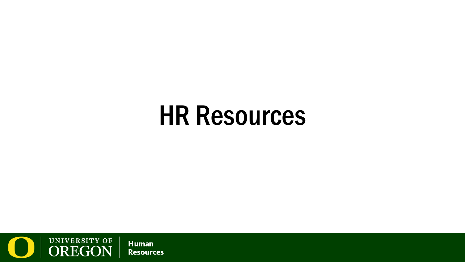## HR Resources

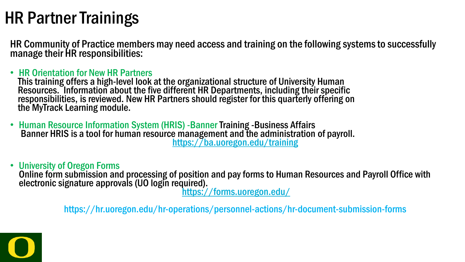### HR Partner Trainings

HR Community of Practice members may need access and training on the following systems to successfully manage their HR responsibilities:

HR Orientation for New HR Partners<br>This training offers a high-level look at the organizational structure of University Human Resources. Information about the five different HR Departments, including their specific responsibilities, is reviewed. New HR Partners should register for this quarterly offering on the MyTrack Learning module.

• Human Resource Information System (HRIS) -Banner Training -Business Affairs Banner HRIS is a tool for human resource management and the administration of payroll. <https://ba.uoregon.edu/training>

• University of Oregon Forms Online form submission and processing of position and pay forms to Human Resources and Payroll Office with electronic signature approvals (UO login required).<br><https://forms.uoregon.edu/>

https://hr.uoregon.edu/hr-operations/personnel-actions/hr-document-submission-forms

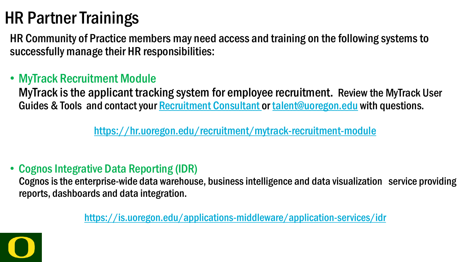### HR Partner Trainings

HR Community of Practice members may need access and training on the following systems to successfully manage their HR responsibilities:

#### • MyTrack Recruitment Module

MyTrack is the applicant tracking system for employee recruitment. Review the MyTrack User Guides & Tools and contact your [Recruitment Consultant](https://hr.uoregon.edu/sites/hr2.uoregon.edu/files/assigned_rc_list_nov_2021.pdf) or [talent@uoregon.edu](mailto:talent@uoregon.edu) with questions.

<https://hr.uoregon.edu/recruitment/mytrack-recruitment-module>

• Cognos Integrative Data Reporting (IDR)

Cognos is the enterprise-wide data warehouse, business intelligence and data visualization service providing reports, dashboards and data integration.

<https://is.uoregon.edu/applications-middleware/application-services/idr>

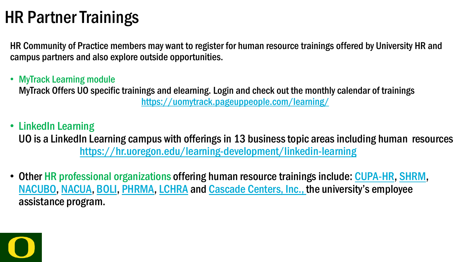### HR Partner Trainings

HR Community of Practice members may want to register for human resource trainings offered by University HR and campus partners and also explore outside opportunities.

#### • MyTrack Learning module

MyTrack Offers UO specific trainings and elearning. Login and check out the monthly calendar of trainings <https://uomytrack.pageuppeople.com/learning/>

#### • LinkedIn Learning

UO is a LinkedIn Learning campus with offerings in 13 business topic areas including human resources <https://hr.uoregon.edu/learning-development/linkedin-learning>

• Other HR professional organizations offering human resource trainings include: [CUPA-HR,](http://www.cupahr.org/about/index.aspx) [SHRM,](http://shrm.org/) [NACUBO](http://www.nacubo.org/), [NACUA](http://www.nacua.org/), [BOLI](http://www.oregon.gov/boli/TA/Pages/T_SEM_Taseminar.aspx), [PHRMA,](http://www.portlandhrma.org/) [LCHRA](http://lchra.shrm.org/welcome-lane-county-human-resource-association-website) and [Cascade Centers, Inc.,](http://www.cascadecenters.com/HR-Webinars) the university's employee assistance program.

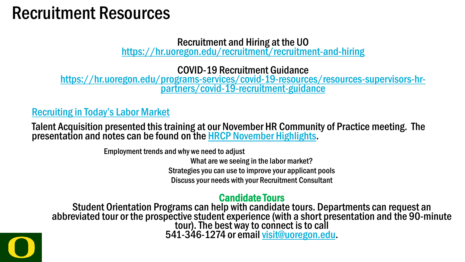### Recruitment Resources

Recruitment and Hiring at the UO<br><https://hr.uoregon.edu/recruitment/recruitment-and-hiring>

COVID-19 Recruitment Guidance

[https://hr.uoregon.edu/programs-services/covid-19-resources/resources-supervisors-hr-](https://hr.uoregon.edu/programs-services/covid-19-resources/resources-supervisors-hr-partners/covid-19-recruitment-guidance) partners/covid-19-recruitment-guidance

[Recruiting in Today's Labor Market](https://hr.uoregon.edu/november-2021-hrcp-presentation.pdf)

Talent Acquisition presented this training at our November HR Community of Practice meeting. The presentation and notes can be found on the [HRCP November Highlights.](https://hr.uoregon.edu/hrcp-november-2021-meeting-highlights.pdf)

> Employment trends and why we need to adjust What are we seeing in the labor market? Strategies you can use to improve your applicant pools Discuss your needs with your Recruitment Consultant

**Candidate Tours**<br>Student Orientation Programs can help with candidate tours. Departments can request an Student Orientation Programs can help with candidate tours. Departments can request an abbreviated tour or the prospective student experience (with a short presentation and the 90-minute tour). The best way to connect is to call<br>541-346-1274 or email <u>[visit@uoregon.edu](mailto:visit@uoregon.edu)</u>.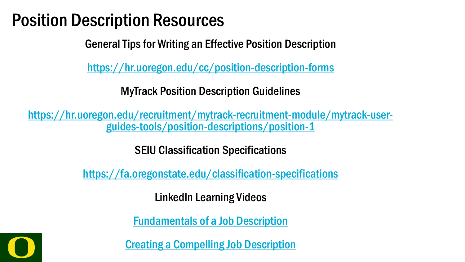### Position Description Resources

General Tips for Writing an Effective Position Description

<https://hr.uoregon.edu/cc/position-description-forms>

MyTrack Position Description Guidelines

[https://hr.uoregon.edu/recruitment/mytrack-recruitment-module/mytrack-user-](https://hr.uoregon.edu/recruitment/mytrack-recruitment-module/mytrack-user-guides-tools/position-descriptions/position-1) guides-tools/position-descriptions/position-1

SEIU Classification Specifications

<https://fa.oregonstate.edu/classification-specifications>

LinkedIn Learning Videos

[Fundamentals of a Job Description](https://www.linkedin.com/learning/search?categoryIds=ALL&certPrep=false&contentBy=ALL&continuingEducationUnits=ALL&difficultyLevel=ALL&durations=ALL&entityType=ALL&keywords=position%20description&language=en_US&learningCategoryIds=ALL&purchaseModel=ALL&software=ALL&sortBy=RELEVANCE&sourceUrn=ALL&spellcheck=true&u=68269554)

[Creating a Compelling Job Description](https://www.linkedin.com/learning/creating-a-compelling-job-description/fundamentals-of-a-job-description?autoAdvance=true&autoSkip=false&autoplay=true&resume=true&u=68269554)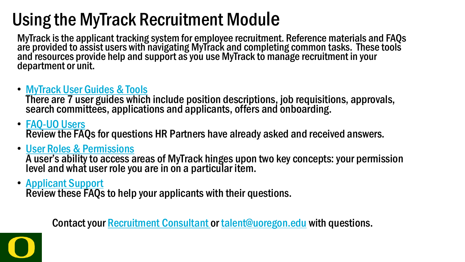## Using the MyTrack Recruitment Module

MyTrack is the applicant tracking system for employee recruitment. Reference materials and FAQs are provided to assist users with navigating MyTrack and completing common tasks. These tools and resources provide help and support as you use MyTrack to manage recruitment in your department or unit.

#### • [MyTrack User Guides & Tools](https://hr.uoregon.edu/recruitment/mytrack-recruitment-module/mytrack-user-guides-tools)

There are 7 user guides which include position descriptions, job requisitions, approvals, search committees, applications and applicants, offers and onboarding.

#### • [FAQ-UO Users](https://hr.uoregon.edu/recruitment/mytrack-recruitment-module/mytrack-faqs-uo-users)

Review the FAQs for questions HR Partners have already asked and received answers.

#### • [User Roles & Permissions](https://hr.uoregon.edu/recruitment/mytrack-recruitment-module/mytrack-user-roles-permissions)

A user's ability to access areas of MyTrack hinges upon two key concepts: your permission level and what user role you are in on a particular item.

#### • [Applicant Support](https://hr.uoregon.edu/recruitment/mytrack-recruitment-module/mytrack-applicant-support)

Review these FAQs to help your applicants with their questions.

Contact your [Recruitment Consultant](https://hr.uoregon.edu/sites/hr2.uoregon.edu/files/assigned_rc_list_nov_2021.pdf) or [talent@uoregon.edu](mailto:talent@uoregon.edu) with questions.

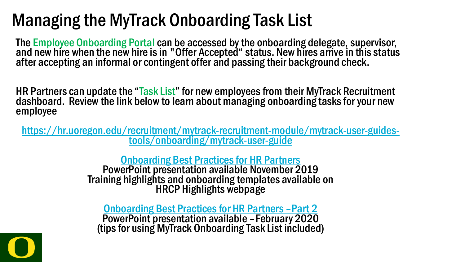## Managing the MyTrack Onboarding Task List

The Employee Onboarding Portal can be accessed by the onboarding delegate, supervisor, and new hire when the new hire is in "Offer Accepted" status. New hires arrive in this status after accepting an informal or contingent offer and passing their background check.

HR Partners can update the "Task List" for new employees from their MyTrack Recruitment dashboard. Review the link below to learn about managing onboarding tasks for your new employee

[https://hr.uoregon.edu/recruitment/mytrack-recruitment-module/mytrack-user-guides-](https://hr.uoregon.edu/recruitment/mytrack-recruitment-module/mytrack-user-guides-tools/onboarding/mytrack-user-guide) tools/onboarding/mytrack-user-guide

[Onboarding Best Practices for HR Partners](https://hr.uoregon.edu/onboarding-best-practices-hr-partners.pdf) PowerPoint presentation available November 2019 Training highlights and onboarding templates available on HRCP Highlights webpage

**Onboarding Best Practices for HR Partners -Part 2<br>PowerPoint presentation available -February 2020** (tips for using MyTrack Onboarding Task List included)

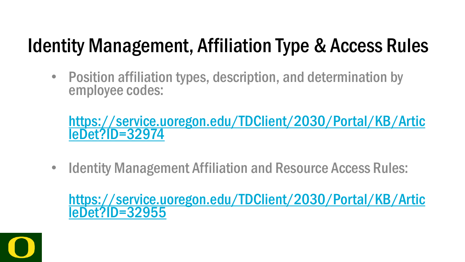## Identity Management, Affiliation Type & Access Rules

• Position affiliation types, description, and determination by employee codes:

[https://service.uoregon.edu/TDClient/2030/Portal/KB/Artic](https://service.uoregon.edu/TDClient/2030/Portal/KB/ArticleDet?ID=32974)<br>leDet?ID=32974

• Identity Management Affiliation and Resource Access Rules:

[https://service.uoregon.edu/TDClient/2030/Portal/KB/Artic](https://service.uoregon.edu/TDClient/2030/Portal/KB/ArticleDet?ID=32955)<br>leDet?ID=32955

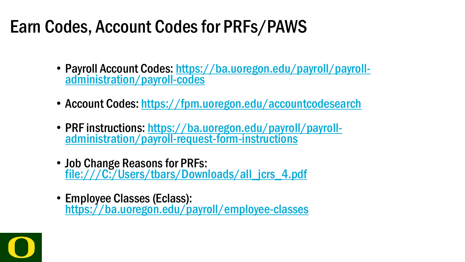## Earn Codes, Account Codes for PRFs/PAWS

- [Payroll Account Codes: https://ba.uoregon.edu/payroll/payroll-](https://ba.uoregon.edu/payroll/payroll-administration/payroll-codes)<br>administration/payroll-codes
- Account Codes: <https://fpm.uoregon.edu/accountcodesearch>
- [PRF instructions: https://ba.uoregon.edu/payroll/payroll-](https://ba.uoregon.edu/payroll/payroll-administration/payroll-request-form-instructions)<br>administration/payroll-request-form-instructions
- Job Change Reasons for PRFs: file:///C:/Users/tbars/Downloads/all\_jcrs\_4.pdf
- Employee Classes (Eclass): <https://ba.uoregon.edu/payroll/employee-classes>

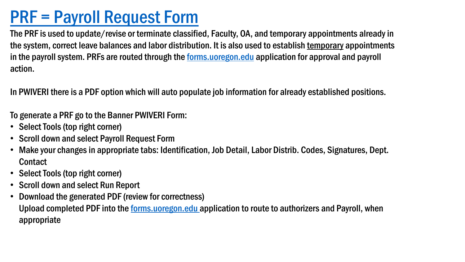### [PRF = Payroll Request Form](https://ba.uoregon.edu/payroll/payroll-administration/payroll-request-form-instructions)

The PRF is used to update/revise or terminate classified, Faculty, OA, and temporary appointments already in the system, correct leave balances and labor distribution. It is also used to establish temporary appointments in the payroll system. PRFs are routed through the forms.uoregon.edu application for approval and payroll action.

In PWIVERI there is a PDF option which will auto populate job information for already established positions.

To generate a PRF go to the Banner PWIVERI Form:

- Select Tools (top right corner)
- Scroll down and select Payroll Request Form
- Make your changes in appropriate tabs: Identification, Job Detail, Labor Distrib. Codes, Signatures, Dept. **Contact**
- Select Tools (top right corner)
- Scroll down and select Run Report
- Download the generated PDF (review for correctness) Upload completed PDF into the forms.uoregon.edu application to route to authorizers and Payroll, when appropriate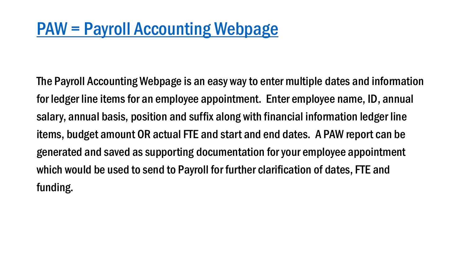### [PAW = Payroll Accounting Webpage](https://baopublic.blob.core.windows.net/paw/bao.accounting/webroot/htm/userform.paw.htm)

The Payroll Accounting Webpage is an easy way to enter multiple dates and information for ledger line items for an employee appointment. Enter employee name, ID, annual salary, annual basis, position and suffix along with financial information ledger line items, budget amount OR actual FTE and start and end dates. A PAW report can be generated and saved as supporting documentation for your employee appointment which would be used to send to Payroll for further clarification of dates, FTE and funding.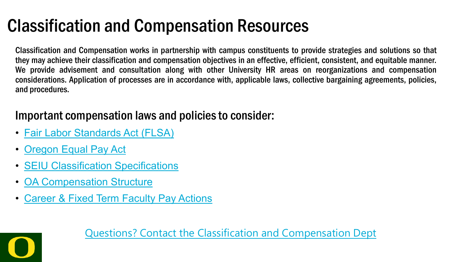## Classification and Compensation Resources

Classification and Compensation works in partnership with campus constituents to provide strategies and solutions so that they may achieve their classification and compensation objectives in an effective, efficient, consistent, and equitable manner. We provide advisement and consultation along with other University HR areas on reorganizations and compensation considerations. Application of processes are in accordance with, applicable laws, collective bargaining agreements, policies, and procedures.

#### Important compensation laws and policies to consider:

- [Fair Labor Standards Act \(FLSA\)](https://hr.uoregon.edu/classification-compensation/fair-labor-standards-act-flsa)
- [Oregon Equal Pay Act](https://hr.uoregon.edu/classification-compensation/oregon-equal-pay-act-implementation/oregon-equal-pay-act-overview)
- [SEIU Classification Specifications](https://fa.oregonstate.edu/classification-specifications)
- [OA Compensation Structure](https://hr.uoregon.edu/recruitment/classification-compensation/officers-administration-oas/oa-compensation-structure)
- [Career & Fixed Term Faculty Pay Actions](https://hr.uoregon.edu/classification-compensation/career-and-fixed-term-faculty-pay-actions)



[Questions? Contact the Classification and Compensation Dept](https://hr.uoregon.edu/classification-compensation/contact-classification-compensation)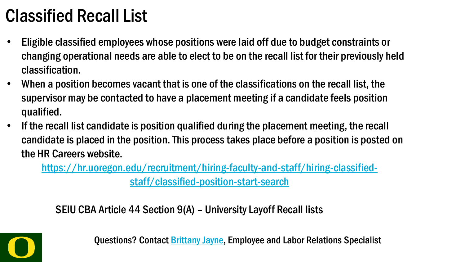## Classified Recall List

- Eligible classified employees whose positions were laid off due to budget constraints or changing operational needs are able to elect to be on the recall list for their previously held classification.
- When a position becomes vacant that is one of the classifications on the recall list, the supervisor may be contacted to have a placement meeting if a candidate feels position qualified.
- If the recall list candidate is position qualified during the placement meeting, the recall candidate is placed in the position. This process takes place before a position is posted on the HR Careers website.

[https://hr.uoregon.edu/recruitment/hiring-faculty-and-staff/hiring-classified](https://hr.uoregon.edu/recruitment/hiring-faculty-and-staff/hiring-classified-staff/classified-position-start-search)staff/classified-position-start-search

SEIU CBA Article 44 Section 9(A) – University Layoff Recall lists



Questions? Contact [Brittany Jayne,](mailto:bdjayne@uoregon.edu) Employee and Labor Relations Specialist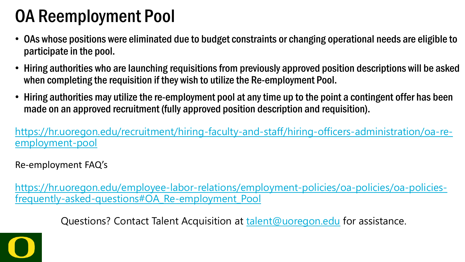## OA Reemployment Pool

- OAs whose positions were eliminated due to budget constraints or changing operational needs are eligible to participate in the pool.
- Hiring authorities who are launching requisitions from previously approved position descriptions will be asked when completing the requisition if they wish to utilize the Re-employment Pool.
- Hiring authorities may utilize the re-employment pool at any time up to the point a contingent offer has been made on an approved recruitment (fully approved position description and requisition).

[https://hr.uoregon.edu/recruitment/hiring-faculty-and-staff/hiring-officers-administration/oa-re](https://hr.uoregon.edu/recruitment/hiring-faculty-and-staff/hiring-officers-administration/oa-re-employment-pool)employment-pool

Re-employment FAQ's

[https://hr.uoregon.edu/employee-labor-relations/employment-policies/oa-policies/oa-policies](https://hr.uoregon.edu/employee-labor-relations/employment-policies/oa-policies/oa-policies-frequently-asked-questions#OA_Re-employment_Pool)frequently-asked-questions#OA\_Re-employment\_Pool

Questions? Contact Talent Acquisition at [talent@uoregon.edu](mailto:talent@uoregon.edu) for assistance.

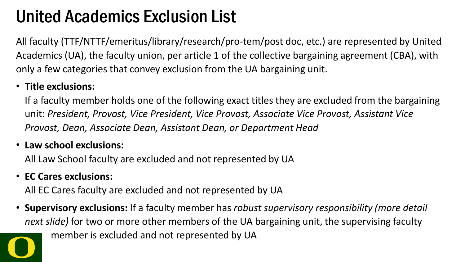## United Academics Exclusion List

All faculty (TTF/NTTF/emeritus/library/research/pro-tem/post doc, etc.) are represented by United Academics (UA), the faculty union, per article 1 of the collective bargaining agreement (CBA), with only a few categories that convey exclusion from the UA bargaining unit.

#### • **Title exclusions:**

If a faculty member holds one of the following exact titles they are excluded from the bargaining unit: *President, Provost, Vice President, Vice Provost, Associate Vice Provost, Assistant Vice Provost, Dean, Associate Dean, Assistant Dean, or Department Head*

• **Law school exclusions:**

All Law School faculty are excluded and not represented by UA

#### • **EC Cares exclusions:**

All EC Cares faculty are excluded and not represented by UA

• **Supervisory exclusions:** If a faculty member has *robust supervisory responsibility (more detail next slide)* for two or more other members of the UA bargaining unit, the supervising faculty member is excluded and not represented by UA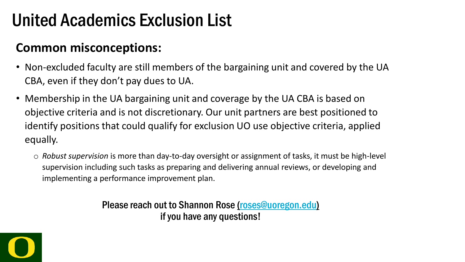## United Academics Exclusion List

#### **Common misconceptions:**

- Non-excluded faculty are still members of the bargaining unit and covered by the UA CBA, even if they don't pay dues to UA.
- Membership in the UA bargaining unit and coverage by the UA CBA is based on objective criteria and is not discretionary. Our unit partners are best positioned to identify positions that could qualify for exclusion UO use objective criteria, applied equally.
	- o *Robust supervision* is more than day-to-day oversight or assignment of tasks, it must be high-level supervision including such tasks as preparing and delivering annual reviews, or developing and implementing a performance improvement plan.

Please reach out to Shannon Rose [\(roses@uoregon.edu](mailto:roses@uoregon.edu)) if you have any questions!

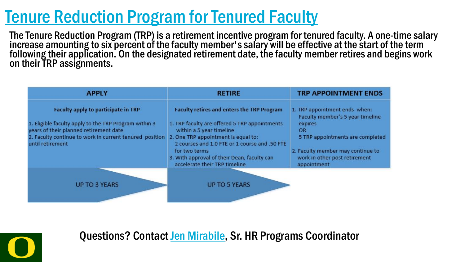### [Tenure Reduction Program for Tenured Faculty](https://hr.uoregon.edu/tenure-reduction-program)

The Tenure Reduction Program (TRP) is a retirement incentive program for tenured faculty. A one-time salary<br>increase amounting to six percent of the faculty member's salary will be effective at the start of the term following their application. On the designated retirement date, the faculty member retires and begins work on their TRP assignments.

| <b>APPLY</b>                                                                                                                                                                                                                                              | <b>RETIRE</b>                                                                                                                                                                                                                                                                    | <b>TRP APPOINTMENT ENDS</b>                                                                                                                                                                                 |
|-----------------------------------------------------------------------------------------------------------------------------------------------------------------------------------------------------------------------------------------------------------|----------------------------------------------------------------------------------------------------------------------------------------------------------------------------------------------------------------------------------------------------------------------------------|-------------------------------------------------------------------------------------------------------------------------------------------------------------------------------------------------------------|
| Faculty apply to participate in TRP<br>1. Eligible faculty apply to the TRP Program within 3<br>years of their planned retirement date<br>2. Faculty continue to work in current tenured position 2. One TRP appointment is equal to:<br>until retirement | <b>Faculty retires and enters the TRP Program</b><br>1. TRP faculty are offered 5 TRP appointments<br>within a 5 year timeline<br>2 courses and 1.0 FTE or 1 course and .50 FTE<br>for two terms<br>3. With approval of their Dean, faculty can<br>accelerate their TRP timeline | 1. TRP appointment ends when:<br>Faculty member's 5 year timeline<br>expires<br>OR<br>5 TRP appointments are completed<br>2. Faculty member may continue to<br>work in other post retirement<br>appointment |
| <b>UP TO 3 YEARS</b>                                                                                                                                                                                                                                      | <b>UP TO 5 YEARS</b>                                                                                                                                                                                                                                                             |                                                                                                                                                                                                             |



Questions? Contact [Jen Mirabile](mailto:mirabile@uoregon.edu), Sr. HR Programs Coordinator